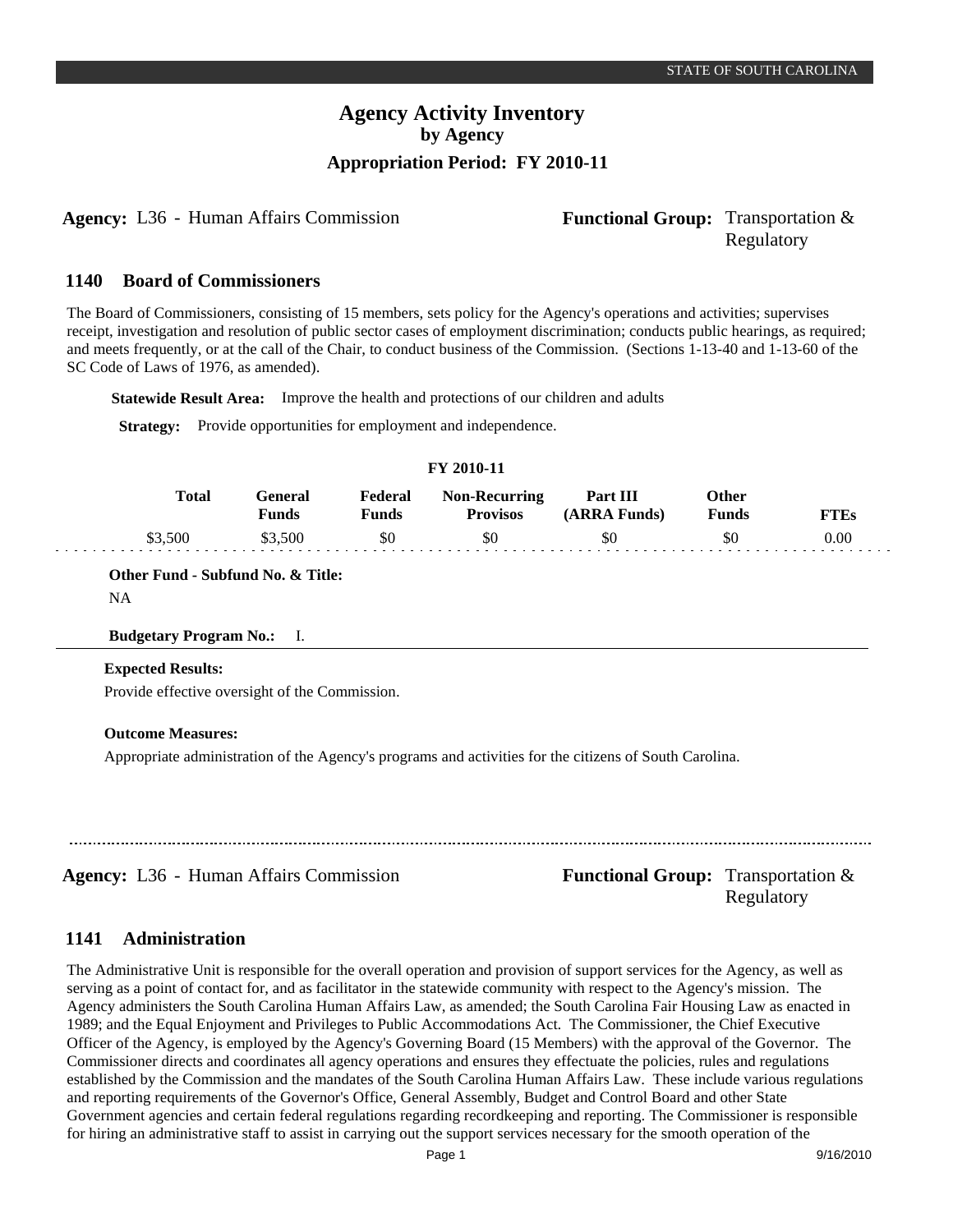**Agency:** L36 - Human Affairs Commission **Functional Group:** Transportation &

# Regulatory

#### **Board of Commissioners 1140**

The Board of Commissioners, consisting of 15 members, sets policy for the Agency's operations and activities; supervises receipt, investigation and resolution of public sector cases of employment discrimination; conducts public hearings, as required; and meets frequently, or at the call of the Chair, to conduct business of the Commission. (Sections 1-13-40 and 1-13-60 of the SC Code of Laws of 1976, as amended).

**Statewide Result Area:** Improve the health and protections of our children and adults

**Strategy:** Provide opportunities for employment and independence.

### **FY 2010-11**

| <b>Total</b> | General<br>Funds | Federal<br>Funds | <b>Non-Recurring</b><br><b>Provisos</b> | Part III<br>(ARRA Funds) | Other<br><b>Funds</b> | <b>WTES</b> |
|--------------|------------------|------------------|-----------------------------------------|--------------------------|-----------------------|-------------|
| \$3.500      | 500              | \$0              | \$0                                     | \$0                      | \$0                   | 0.00        |

**Other Fund - Subfund No. & Title:** NA

## **Budgetary Program No.:** I.

## **Expected Results:**

Provide effective oversight of the Commission.

## **Outcome Measures:**

Appropriate administration of the Agency's programs and activities for the citizens of South Carolina.

## **Agency:** L36 - Human Affairs Commission **Functional Group:** Transportation & Regulatory

#### **Administration 1141**

The Administrative Unit is responsible for the overall operation and provision of support services for the Agency, as well as serving as a point of contact for, and as facilitator in the statewide community with respect to the Agency's mission. The Agency administers the South Carolina Human Affairs Law, as amended; the South Carolina Fair Housing Law as enacted in 1989; and the Equal Enjoyment and Privileges to Public Accommodations Act. The Commissioner, the Chief Executive Officer of the Agency, is employed by the Agency's Governing Board (15 Members) with the approval of the Governor. The Commissioner directs and coordinates all agency operations and ensures they effectuate the policies, rules and regulations established by the Commission and the mandates of the South Carolina Human Affairs Law. These include various regulations and reporting requirements of the Governor's Office, General Assembly, Budget and Control Board and other State Government agencies and certain federal regulations regarding recordkeeping and reporting. The Commissioner is responsible for hiring an administrative staff to assist in carrying out the support services necessary for the smooth operation of the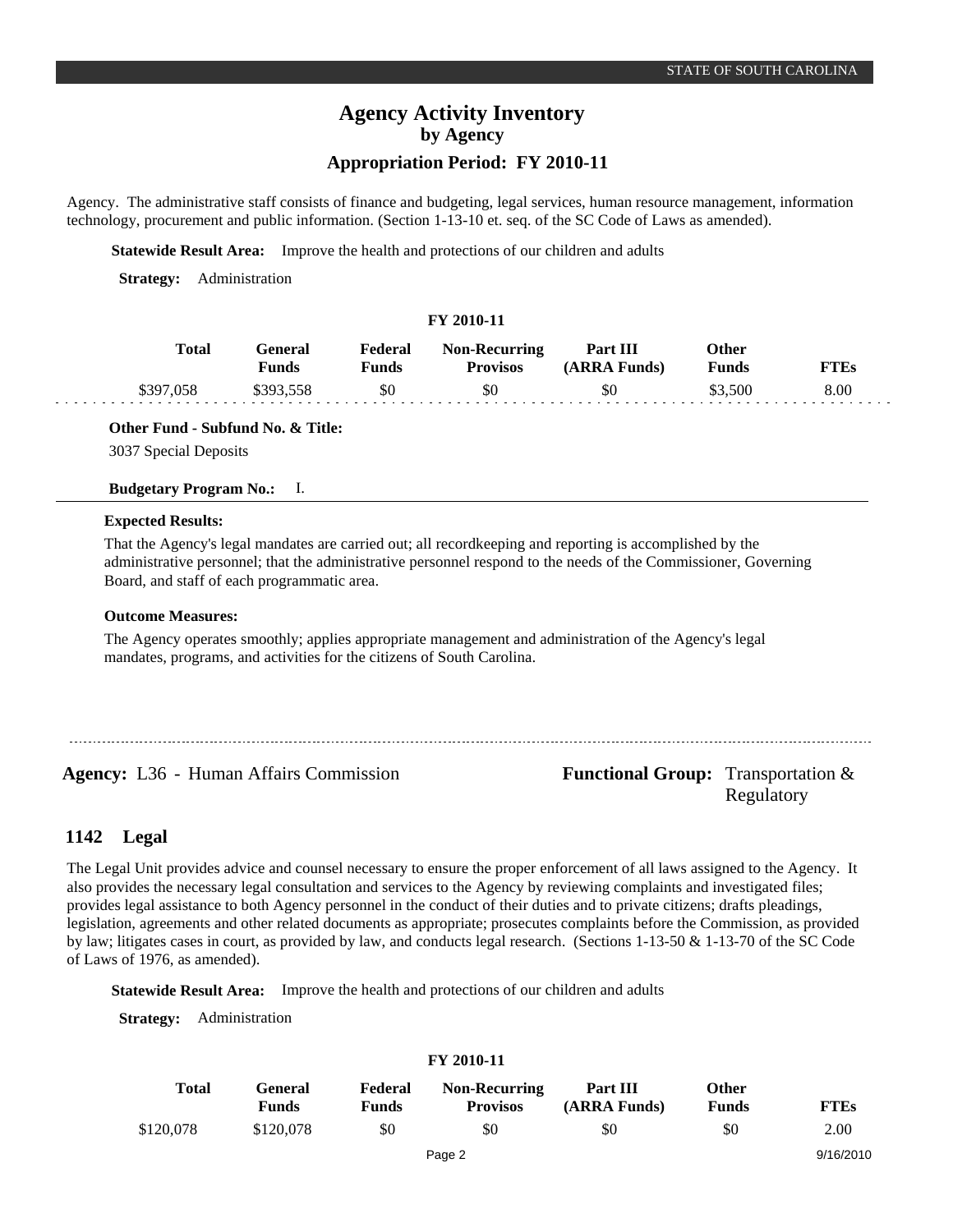# **Agency Activity Inventory by Agency**

## **Appropriation Period: FY 2010-11**

Agency. The administrative staff consists of finance and budgeting, legal services, human resource management, information technology, procurement and public information. (Section 1-13-10 et. seq. of the SC Code of Laws as amended).

**Statewide Result Area:** Improve the health and protections of our children and adults

**Strategy:** Administration

## **FY 2010-11**

| <b>Total</b> | General<br>Funds | Federal<br>Funds | <b>Non-Recurring</b><br><b>Provisos</b> | Part III<br>(ARRA Funds) | Other<br><b>Funds</b> | <b>FTEs</b> |
|--------------|------------------|------------------|-----------------------------------------|--------------------------|-----------------------|-------------|
| \$397.058    | \$393,558        | \$0              | \$0                                     | \$0                      | \$3.500               | 8.00        |

**Other Fund - Subfund No. & Title:**

3037 Special Deposits

**Budgetary Program No.:** I.

## **Expected Results:**

That the Agency's legal mandates are carried out; all recordkeeping and reporting is accomplished by the administrative personnel; that the administrative personnel respond to the needs of the Commissioner, Governing Board, and staff of each programmatic area.

## **Outcome Measures:**

The Agency operates smoothly; applies appropriate management and administration of the Agency's legal mandates, programs, and activities for the citizens of South Carolina.

## Agency: L36 - Human Affairs Commission Functional Group: Transportation & Regulatory

#### **Legal 1142**

The Legal Unit provides advice and counsel necessary to ensure the proper enforcement of all laws assigned to the Agency. It also provides the necessary legal consultation and services to the Agency by reviewing complaints and investigated files; provides legal assistance to both Agency personnel in the conduct of their duties and to private citizens; drafts pleadings, legislation, agreements and other related documents as appropriate; prosecutes complaints before the Commission, as provided by law; litigates cases in court, as provided by law, and conducts legal research. (Sections 1-13-50 & 1-13-70 of the SC Code of Laws of 1976, as amended).

**Statewide Result Area:** Improve the health and protections of our children and adults

**Strategy:** Administration

| Total     | General<br><b>Funds</b> | Federal<br><b>Funds</b> | <b>Non-Recurring</b><br><b>Provisos</b> | Part III<br>(ARRA Funds) | Other<br><b>Funds</b> | <b>FTEs</b> |
|-----------|-------------------------|-------------------------|-----------------------------------------|--------------------------|-----------------------|-------------|
| \$120,078 | \$120,078               | \$0                     | \$0                                     | \$0                      | \$0                   | 2.00        |
|           |                         |                         | Page 2                                  |                          |                       | 9/16/2010   |

### **FY 2010-11**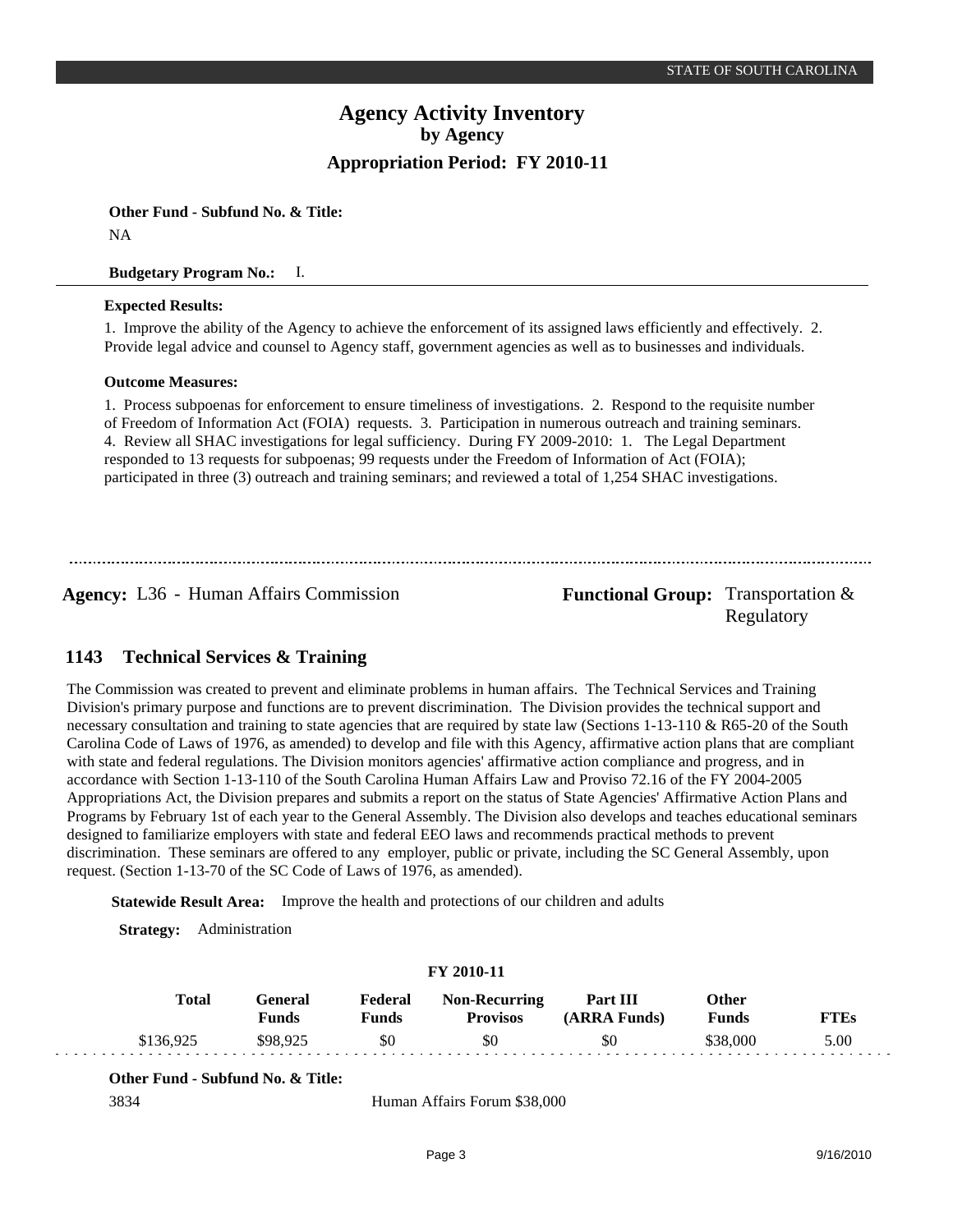**Other Fund - Subfund No. & Title:** NA

## **Budgetary Program No.:** I.

## **Expected Results:**

1. Improve the ability of the Agency to achieve the enforcement of its assigned laws efficiently and effectively. 2. Provide legal advice and counsel to Agency staff, government agencies as well as to businesses and individuals.

## **Outcome Measures:**

1. Process subpoenas for enforcement to ensure timeliness of investigations. 2. Respond to the requisite number of Freedom of Information Act (FOIA) requests. 3. Participation in numerous outreach and training seminars. 4. Review all SHAC investigations for legal sufficiency. During FY 2009-2010: 1. The Legal Department responded to 13 requests for subpoenas; 99 requests under the Freedom of Information of Act (FOIA); participated in three (3) outreach and training seminars; and reviewed a total of 1,254 SHAC investigations.

**Agency:** L36 - Human Affairs Commission **Functional Group:** Transportation &

Regulatory

#### **Technical Services & Training 1143**

The Commission was created to prevent and eliminate problems in human affairs. The Technical Services and Training Division's primary purpose and functions are to prevent discrimination. The Division provides the technical support and necessary consultation and training to state agencies that are required by state law (Sections 1-13-110 & R65-20 of the South Carolina Code of Laws of 1976, as amended) to develop and file with this Agency, affirmative action plans that are compliant with state and federal regulations. The Division monitors agencies' affirmative action compliance and progress, and in accordance with Section 1-13-110 of the South Carolina Human Affairs Law and Proviso 72.16 of the FY 2004-2005 Appropriations Act, the Division prepares and submits a report on the status of State Agencies' Affirmative Action Plans and Programs by February 1st of each year to the General Assembly. The Division also develops and teaches educational seminars designed to familiarize employers with state and federal EEO laws and recommends practical methods to prevent discrimination. These seminars are offered to any employer, public or private, including the SC General Assembly, upon request. (Section 1-13-70 of the SC Code of Laws of 1976, as amended).

**Statewide Result Area:** Improve the health and protections of our children and adults

**Strategy:** Administration

| Total     | General<br>Funds | Federal<br>Funds | <b>Non-Recurring</b><br><b>Provisos</b> | Part III<br>(ARRA Funds) | Other<br>Funds | <b>FTEs</b> |  |
|-----------|------------------|------------------|-----------------------------------------|--------------------------|----------------|-------------|--|
| \$136,925 | \$98,925         | \$0              | \$0                                     | \$0                      | \$38,000       | 5.00        |  |

**FY 2010-11**

## **Other Fund - Subfund No. & Title:**

3834 Human Affairs Forum \$38,000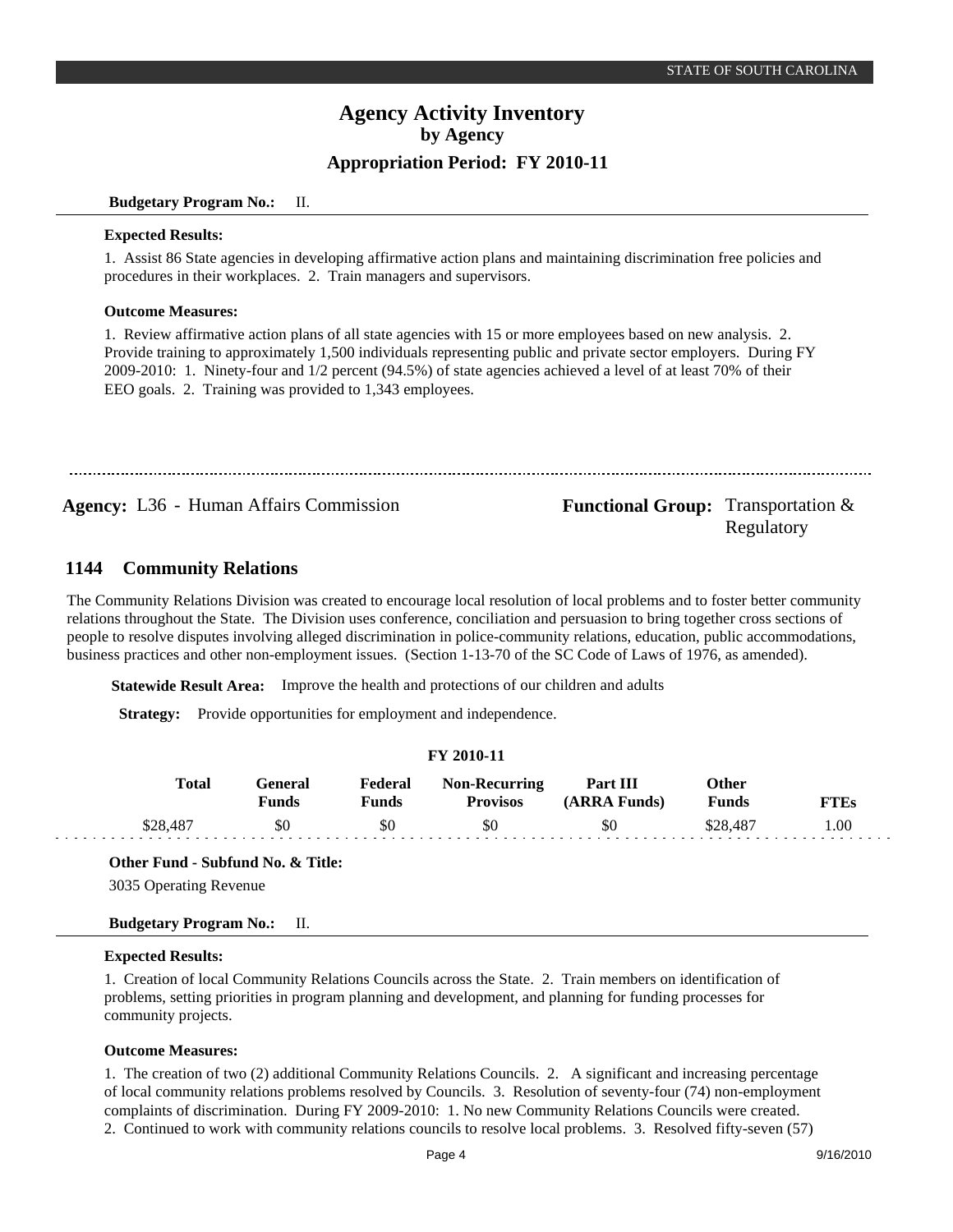## **Budgetary Program No.:** II.

### **Expected Results:**

1. Assist 86 State agencies in developing affirmative action plans and maintaining discrimination free policies and procedures in their workplaces. 2. Train managers and supervisors.

## **Outcome Measures:**

1. Review affirmative action plans of all state agencies with 15 or more employees based on new analysis. 2. Provide training to approximately 1,500 individuals representing public and private sector employers. During FY 2009-2010: 1. Ninety-four and 1/2 percent (94.5%) of state agencies achieved a level of at least 70% of their EEO goals. 2. Training was provided to 1,343 employees.

**Agency:** L36 - Human Affairs Commission **Functional Group:** Transportation &

# Regulatory

#### **Community Relations 1144**

The Community Relations Division was created to encourage local resolution of local problems and to foster better community relations throughout the State. The Division uses conference, conciliation and persuasion to bring together cross sections of people to resolve disputes involving alleged discrimination in police-community relations, education, public accommodations, business practices and other non-employment issues. (Section 1-13-70 of the SC Code of Laws of 1976, as amended).

**Statewide Result Area:** Improve the health and protections of our children and adults

**Strategy:** Provide opportunities for employment and independence.

| FY 2010-11 |                         |                  |                                         |                          |                       |             |  |
|------------|-------------------------|------------------|-----------------------------------------|--------------------------|-----------------------|-------------|--|
| Total      | General<br><b>Funds</b> | Federal<br>Funds | <b>Non-Recurring</b><br><b>Provisos</b> | Part III<br>(ARRA Funds) | Other<br><b>Funds</b> | <b>FTEs</b> |  |
| \$28,487   | \$0                     | \$0              | \$0                                     | \$0                      | \$28,487              | 1.00        |  |

## **Other Fund - Subfund No. & Title:**

3035 Operating Revenue

## **Budgetary Program No.:** II.

## **Expected Results:**

1. Creation of local Community Relations Councils across the State. 2. Train members on identification of problems, setting priorities in program planning and development, and planning for funding processes for community projects.

## **Outcome Measures:**

1. The creation of two (2) additional Community Relations Councils. 2. A significant and increasing percentage of local community relations problems resolved by Councils. 3. Resolution of seventy-four (74) non-employment complaints of discrimination. During FY 2009-2010: 1. No new Community Relations Councils were created. 2. Continued to work with community relations councils to resolve local problems. 3. Resolved fifty-seven (57)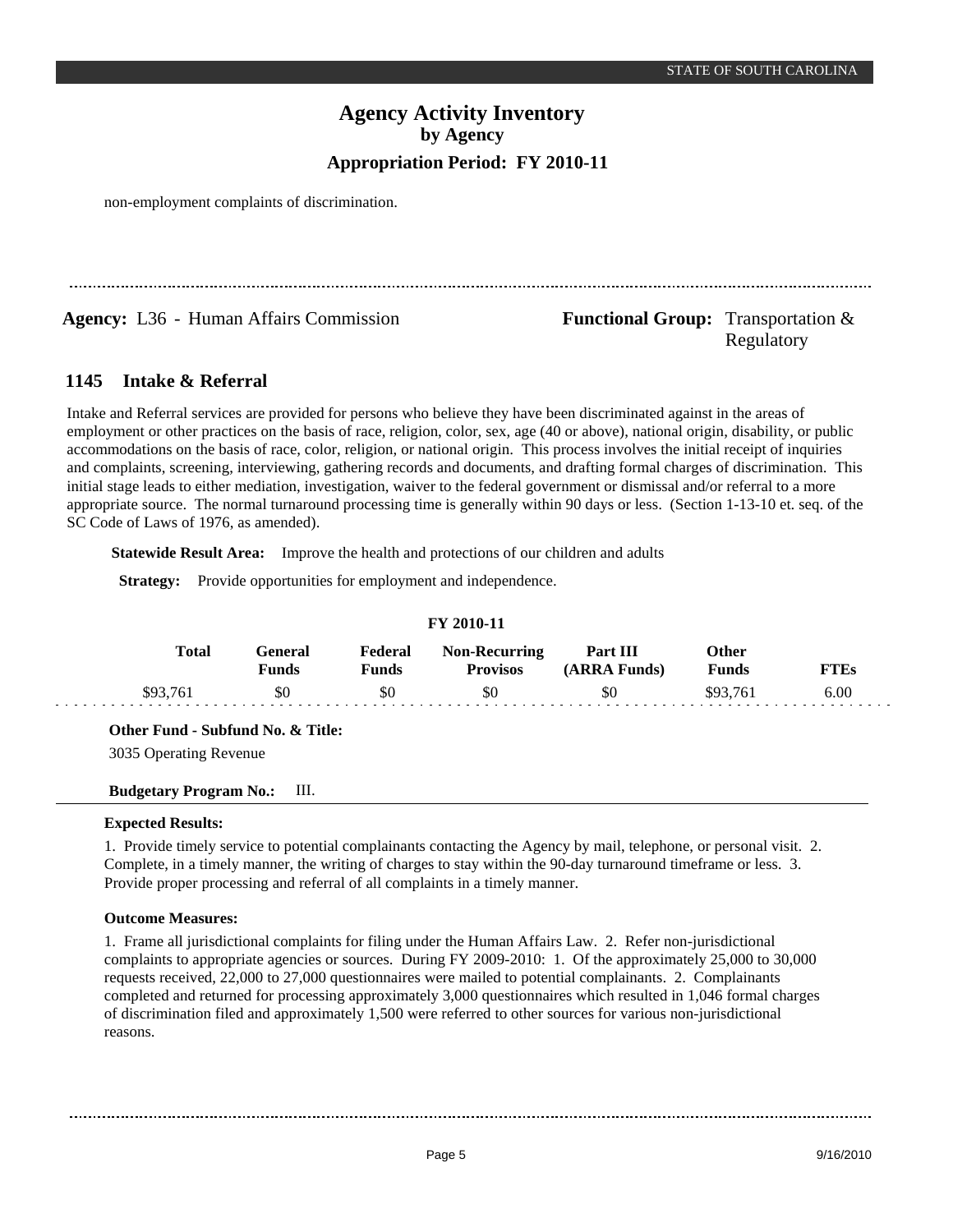non-employment complaints of discrimination.

**Agency:** L36 - Human Affairs Commission **Functional Group:** Transportation &

# Regulatory

#### **Intake & Referral 1145**

Intake and Referral services are provided for persons who believe they have been discriminated against in the areas of employment or other practices on the basis of race, religion, color, sex, age (40 or above), national origin, disability, or public accommodations on the basis of race, color, religion, or national origin. This process involves the initial receipt of inquiries and complaints, screening, interviewing, gathering records and documents, and drafting formal charges of discrimination. This initial stage leads to either mediation, investigation, waiver to the federal government or dismissal and/or referral to a more appropriate source. The normal turnaround processing time is generally within 90 days or less. (Section 1-13-10 et. seq. of the SC Code of Laws of 1976, as amended).

**Statewide Result Area:** Improve the health and protections of our children and adults

**Strategy:** Provide opportunities for employment and independence.

## **FY 2010-11**

|          | <b>Total</b><br>General<br>Funds | Federal<br>Funds | <b>Non-Recurring</b><br><b>Provisos</b> | Part III<br>(ARRA Funds) | Other<br><b>Funds</b> | <b>FTEs</b> |
|----------|----------------------------------|------------------|-----------------------------------------|--------------------------|-----------------------|-------------|
| \$93,761 | \$0                              | \$0              | \$0                                     | \$0                      | \$93.761              | 6.00        |

**Other Fund - Subfund No. & Title:**

3035 Operating Revenue

## **Budgetary Program No.:** III.

## **Expected Results:**

1. Provide timely service to potential complainants contacting the Agency by mail, telephone, or personal visit. 2. Complete, in a timely manner, the writing of charges to stay within the 90-day turnaround timeframe or less. 3. Provide proper processing and referral of all complaints in a timely manner.

## **Outcome Measures:**

1. Frame all jurisdictional complaints for filing under the Human Affairs Law. 2. Refer non-jurisdictional complaints to appropriate agencies or sources. During FY 2009-2010: 1. Of the approximately 25,000 to 30,000 requests received, 22,000 to 27,000 questionnaires were mailed to potential complainants. 2. Complainants completed and returned for processing approximately 3,000 questionnaires which resulted in 1,046 formal charges of discrimination filed and approximately 1,500 were referred to other sources for various non-jurisdictional reasons.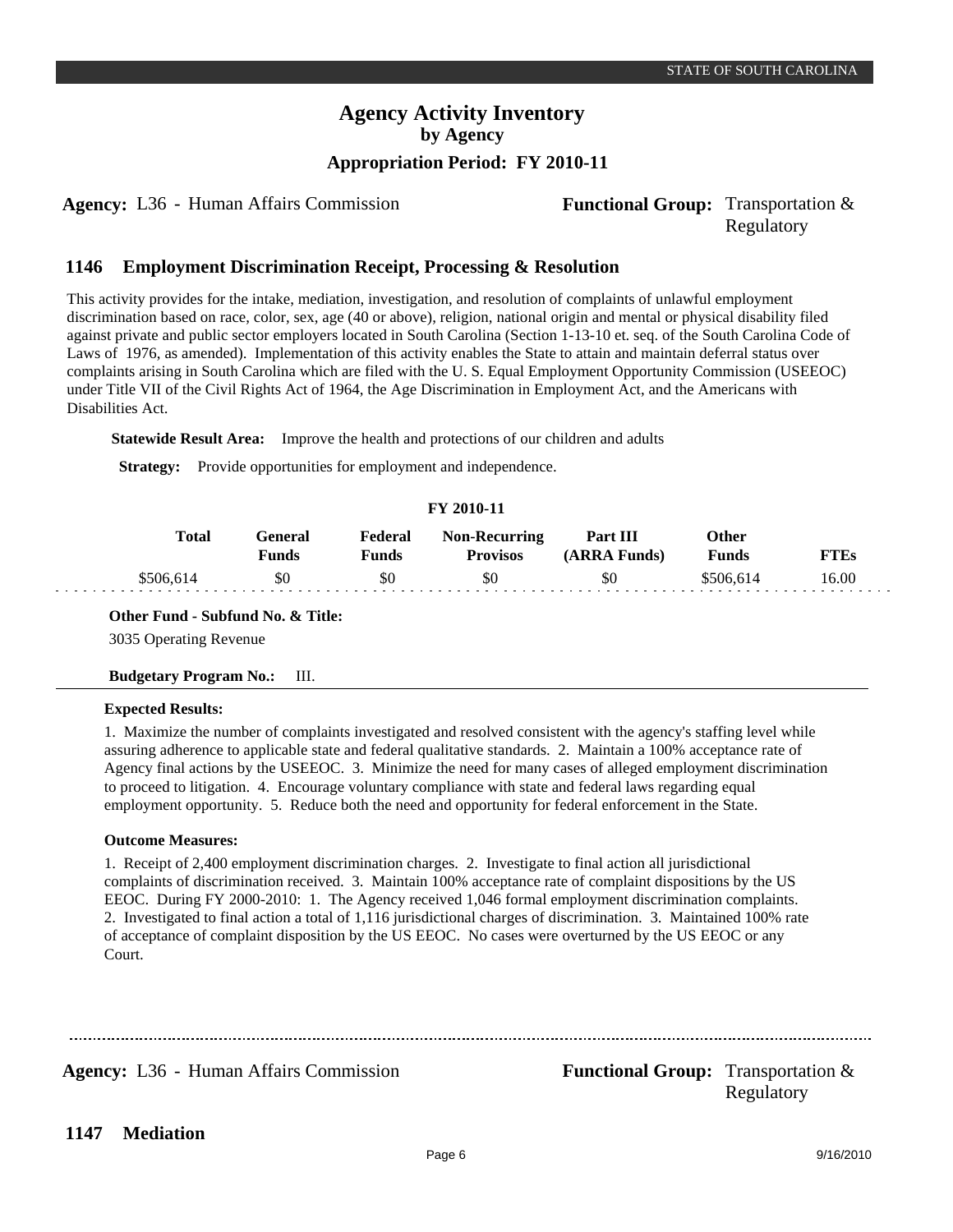# **Agency Activity Inventory by Agency**

# **Appropriation Period: FY 2010-11**

**Agency:** L36 - Human Affairs Commission **Functional Group:** Transportation &

# Regulatory

#### **Employment Discrimination Receipt, Processing & Resolution 1146**

This activity provides for the intake, mediation, investigation, and resolution of complaints of unlawful employment discrimination based on race, color, sex, age (40 or above), religion, national origin and mental or physical disability filed against private and public sector employers located in South Carolina (Section 1-13-10 et. seq. of the South Carolina Code of Laws of 1976, as amended). Implementation of this activity enables the State to attain and maintain deferral status over complaints arising in South Carolina which are filed with the U. S. Equal Employment Opportunity Commission (USEEOC) under Title VII of the Civil Rights Act of 1964, the Age Discrimination in Employment Act, and the Americans with Disabilities Act.

**Statewide Result Area:** Improve the health and protections of our children and adults

**Strategy:** Provide opportunities for employment and independence.

## **FY 2010-11**

| Total     | General<br>Funds | Federal<br>Funds | <b>Non-Recurring</b><br><b>Provisos</b> | Part III<br>(ARRA Funds) | Other<br>Funds | FTEs  |
|-----------|------------------|------------------|-----------------------------------------|--------------------------|----------------|-------|
| \$506.614 | \$0              | \$0              | \$0                                     | \$0                      | \$506.614      | 16.00 |

## **Other Fund - Subfund No. & Title:**

3035 Operating Revenue

## **Budgetary Program No.:** III.

## **Expected Results:**

1. Maximize the number of complaints investigated and resolved consistent with the agency's staffing level while assuring adherence to applicable state and federal qualitative standards. 2. Maintain a 100% acceptance rate of Agency final actions by the USEEOC. 3. Minimize the need for many cases of alleged employment discrimination to proceed to litigation. 4. Encourage voluntary compliance with state and federal laws regarding equal employment opportunity. 5. Reduce both the need and opportunity for federal enforcement in the State.

## **Outcome Measures:**

1. Receipt of 2,400 employment discrimination charges. 2. Investigate to final action all jurisdictional complaints of discrimination received. 3. Maintain 100% acceptance rate of complaint dispositions by the US EEOC. During FY 2000-2010: 1. The Agency received 1,046 formal employment discrimination complaints. 2. Investigated to final action a total of 1,116 jurisdictional charges of discrimination. 3. Maintained 100% rate of acceptance of complaint disposition by the US EEOC. No cases were overturned by the US EEOC or any Court.

**Agency:** L36 - Human Affairs Commission **Functional Group:** Transportation & Regulatory

**Mediation 1147**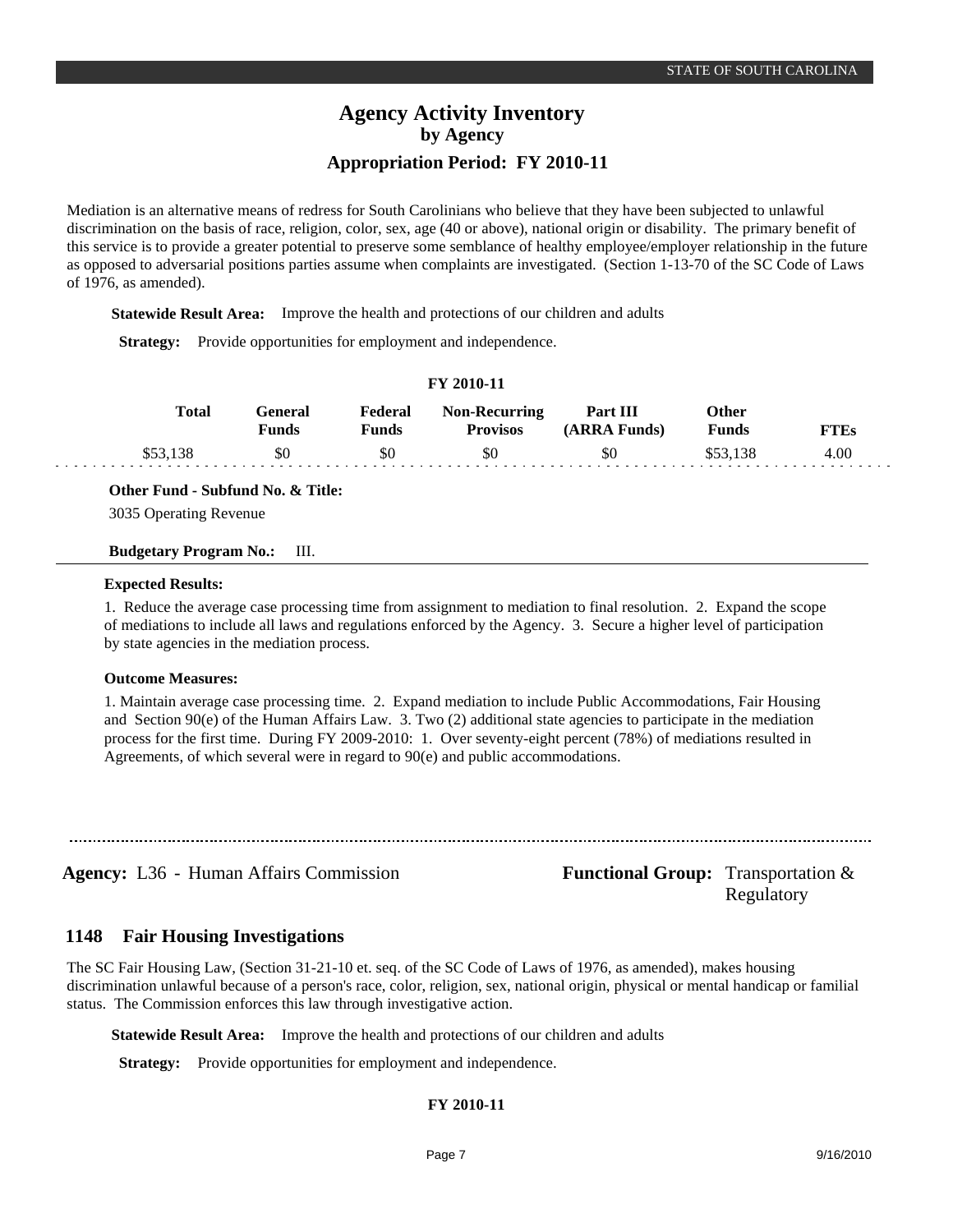Mediation is an alternative means of redress for South Carolinians who believe that they have been subjected to unlawful discrimination on the basis of race, religion, color, sex, age (40 or above), national origin or disability. The primary benefit of this service is to provide a greater potential to preserve some semblance of healthy employee/employer relationship in the future as opposed to adversarial positions parties assume when complaints are investigated. (Section 1-13-70 of the SC Code of Laws of 1976, as amended).

**Statewide Result Area:** Improve the health and protections of our children and adults

**Strategy:** Provide opportunities for employment and independence.

## **FY 2010-11**

| Total | <del>l</del> eneral<br><b>Funds</b> | Federal<br>प <b>unds</b> | <b>Non-Recurring</b><br><b>Provisos</b> | Part III<br>(ARRA Funds) | Other<br>Funds | FTEs |
|-------|-------------------------------------|--------------------------|-----------------------------------------|--------------------------|----------------|------|
|       | \$0                                 | \$0                      | \$0                                     | \$0                      |                | 4.00 |

**Other Fund - Subfund No. & Title:**

3035 Operating Revenue

## **Budgetary Program No.:** III.

## **Expected Results:**

1. Reduce the average case processing time from assignment to mediation to final resolution. 2. Expand the scope of mediations to include all laws and regulations enforced by the Agency. 3. Secure a higher level of participation by state agencies in the mediation process.

## **Outcome Measures:**

1. Maintain average case processing time. 2. Expand mediation to include Public Accommodations, Fair Housing and Section 90(e) of the Human Affairs Law. 3. Two (2) additional state agencies to participate in the mediation process for the first time. During FY 2009-2010: 1. Over seventy-eight percent (78%) of mediations resulted in Agreements, of which several were in regard to 90(e) and public accommodations.

**Agency:** L36 - Human Affairs Commission **Functional Group:** Transportation & Regulatory

#### **Fair Housing Investigations 1148**

The SC Fair Housing Law, (Section 31-21-10 et. seq. of the SC Code of Laws of 1976, as amended), makes housing discrimination unlawful because of a person's race, color, religion, sex, national origin, physical or mental handicap or familial status. The Commission enforces this law through investigative action.

**Statewide Result Area:** Improve the health and protections of our children and adults

**Strategy:** Provide opportunities for employment and independence.

## **FY 2010-11**